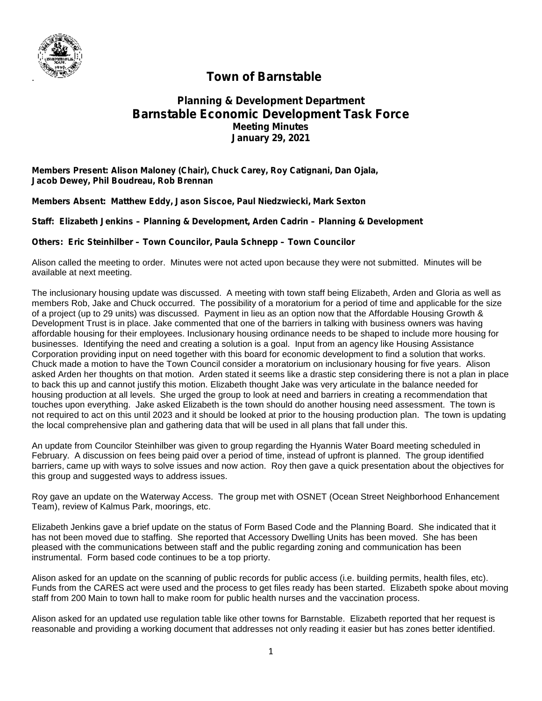

## . **Town of Barnstable**

## **Planning & Development Department Barnstable Economic Development Task Force Meeting Minutes January 29, 2021**

**Members Present: Alison Maloney (Chair), Chuck Carey, Roy Catignani, Dan Ojala, Jacob Dewey, Phil Boudreau, Rob Brennan**

**Members Absent: Matthew Eddy, Jason Siscoe, Paul Niedzwiecki, Mark Sexton**

**Staff: Elizabeth Jenkins – Planning & Development, Arden Cadrin – Planning & Development**

**Others: Eric Steinhilber – Town Councilor, Paula Schnepp – Town Councilor**

Alison called the meeting to order. Minutes were not acted upon because they were not submitted. Minutes will be available at next meeting.

The inclusionary housing update was discussed. A meeting with town staff being Elizabeth, Arden and Gloria as well as members Rob, Jake and Chuck occurred. The possibility of a moratorium for a period of time and applicable for the size of a project (up to 29 units) was discussed. Payment in lieu as an option now that the Affordable Housing Growth & Development Trust is in place. Jake commented that one of the barriers in talking with business owners was having affordable housing for their employees. Inclusionary housing ordinance needs to be shaped to include more housing for businesses. Identifying the need and creating a solution is a goal. Input from an agency like Housing Assistance Corporation providing input on need together with this board for economic development to find a solution that works. Chuck made a motion to have the Town Council consider a moratorium on inclusionary housing for five years. Alison asked Arden her thoughts on that motion. Arden stated it seems like a drastic step considering there is not a plan in place to back this up and cannot justify this motion. Elizabeth thought Jake was very articulate in the balance needed for housing production at all levels. She urged the group to look at need and barriers in creating a recommendation that touches upon everything. Jake asked Elizabeth is the town should do another housing need assessment. The town is not required to act on this until 2023 and it should be looked at prior to the housing production plan. The town is updating the local comprehensive plan and gathering data that will be used in all plans that fall under this.

An update from Councilor Steinhilber was given to group regarding the Hyannis Water Board meeting scheduled in February. A discussion on fees being paid over a period of time, instead of upfront is planned. The group identified barriers, came up with ways to solve issues and now action. Roy then gave a quick presentation about the objectives for this group and suggested ways to address issues.

Roy gave an update on the Waterway Access. The group met with OSNET (Ocean Street Neighborhood Enhancement Team), review of Kalmus Park, moorings, etc.

Elizabeth Jenkins gave a brief update on the status of Form Based Code and the Planning Board. She indicated that it has not been moved due to staffing. She reported that Accessory Dwelling Units has been moved. She has been pleased with the communications between staff and the public regarding zoning and communication has been instrumental. Form based code continues to be a top priorty.

Alison asked for an update on the scanning of public records for public access (i.e. building permits, health files, etc). Funds from the CARES act were used and the process to get files ready has been started. Elizabeth spoke about moving staff from 200 Main to town hall to make room for public health nurses and the vaccination process.

Alison asked for an updated use regulation table like other towns for Barnstable. Elizabeth reported that her request is reasonable and providing a working document that addresses not only reading it easier but has zones better identified.